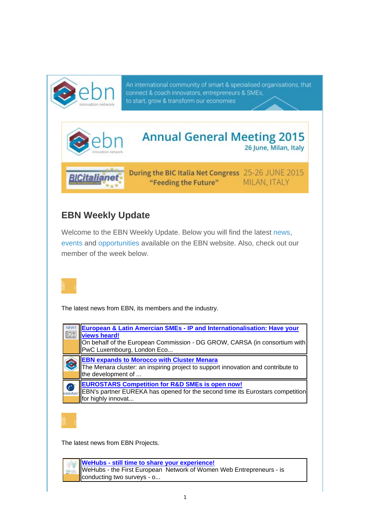

An international community of smart & specialised organisations, that connect & coach innovators, entrepreneurs & SMEs, to start, grow & transform our economies



## **EBN Weekly Update**

Welcome to the EBN Weekly Update. Below you will find the latest news, events and opportunities available on the EBN website. Also, check out our member of the week below.



The latest news from EBN, its members and the industry.



The latest news from EBN Projects.

**WeHubs - still time to share your experience!**  WeHubs - the First European Network of Women Web Entrepreneurs - is conducting two surveys - o...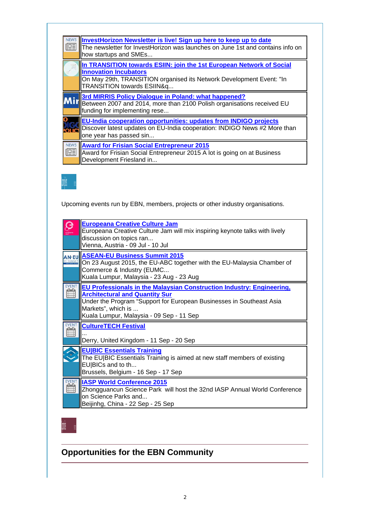| InvestHorizon Newsletter is live! Sign up here to keep up to date<br>The newsletter for InvestHorizon was launches on June 1st and contains info on<br>how startups and SMEs                               |
|------------------------------------------------------------------------------------------------------------------------------------------------------------------------------------------------------------|
| In TRANSITION towards ESIIN: join the 1st European Network of Social<br><b>Innovation Incubators</b><br>On May 29th, TRANSITION organised its Network Development Event: "In<br>TRANSITION towards ESIIN&q |
| <b>Mir</b> 3rd MIRRIS Policy Dialogue in Poland: what happened?<br>Mir Between 2007 and 2014, more than 2100 Polish organisations received EU<br>funding for implementing rese                             |
| <b>EU-India cooperation opportunities: updates from INDIGO projects</b><br>Discover latest updates on EU-India cooperation: INDIGO News #2 More than<br>one year has passed sin                            |
| <b>Award for Frisian Social Entrepreneur 2015</b><br>Award for Frisian Social Entrepreneur 2015 A lot is going on at Business<br>Development Friesland in                                                  |



Upcoming events run by EBN, members, projects or other industry organisations.

|             | <b>Europeana Creative Culture Jam</b><br>Europeana Creative Culture Jam will mix inspiring keynote talks with lively<br>discussion on topics ran<br>Vienna, Austria - 09 Jul - 10 Jul                                                                    |
|-------------|----------------------------------------------------------------------------------------------------------------------------------------------------------------------------------------------------------------------------------------------------------|
|             | <b>ASEAN-EU Business Summit 2015</b><br>On 23 August 2015, the EU-ABC together with the EU-Malaysia Chamber of<br>Commerce & Industry (EUMC<br>Kuala Lumpur, Malaysia - 23 Aug - 23 Aug                                                                  |
| <b>EVEN</b> | EU Professionals in the Malaysian Construction Industry: Engineering,<br><b>Architectural and Quantity Sur</b><br>Under the Program "Support for European Businesses in Southeast Asia<br>Markets", which is<br>Kuala Lumpur, Malaysia - 09 Sep - 11 Sep |
|             | <b>CultureTECH Festival</b><br>Derry, United Kingdom - 11 Sep - 20 Sep                                                                                                                                                                                   |
|             | <b>EU BIC Essentials Training</b><br>The EU BIC Essentials Training is aimed at new staff members of existing<br>EU BICs and to th<br>Brussels, Belgium - 16 Sep - 17 Sep                                                                                |
|             | <b>IASP World Conference 2015</b><br>Zhongguancun Science Park will host the 32nd IASP Annual World Conference<br>on Science Parks and<br>Beijinhg, China - 22 Sep - 25 Sep                                                                              |

## **Opportunities for the EBN Community**